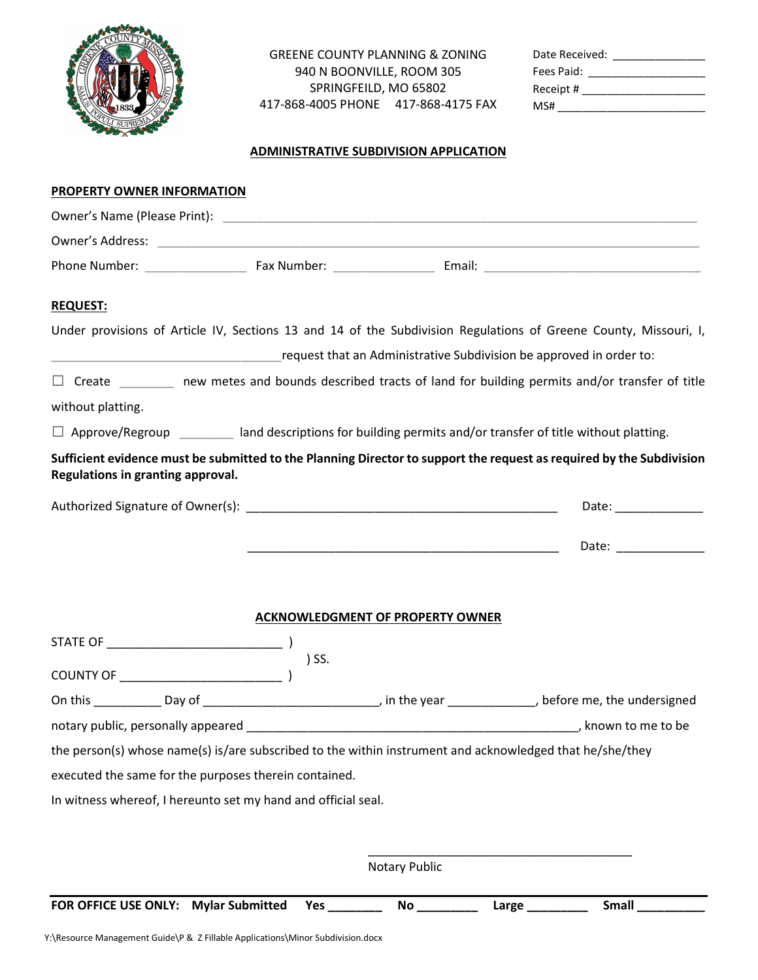

GREENE COUNTY PLANNING & ZONING 940 N BOONVILLE, ROOM 305 SPRINGFEILD, MO 65802 417-868-4005 PHONE 417-868-4175 FAX

| Date Received: |  |
|----------------|--|
| Fees Paid:     |  |
| Receipt #      |  |
| MS#            |  |

## ADMINISTRATIVE SUBDIVISION APPLICATION

| PROPERTY OWNER INFORMATION                                                                                                                                |              |                                                                     |                 |                       |
|-----------------------------------------------------------------------------------------------------------------------------------------------------------|--------------|---------------------------------------------------------------------|-----------------|-----------------------|
|                                                                                                                                                           |              |                                                                     |                 |                       |
|                                                                                                                                                           |              |                                                                     |                 |                       |
|                                                                                                                                                           |              |                                                                     |                 |                       |
| <b>REQUEST:</b>                                                                                                                                           |              |                                                                     |                 |                       |
| Under provisions of Article IV, Sections 13 and 14 of the Subdivision Regulations of Greene County, Missouri, I,                                          |              |                                                                     |                 |                       |
|                                                                                                                                                           |              | request that an Administrative Subdivision be approved in order to: |                 |                       |
| $\Box$ Create _________ new metes and bounds described tracts of land for building permits and/or transfer of title                                       |              |                                                                     |                 |                       |
| without platting.                                                                                                                                         |              |                                                                     |                 |                       |
| $\Box$ Approve/Regroup _________ land descriptions for building permits and/or transfer of title without platting.                                        |              |                                                                     |                 |                       |
| Sufficient evidence must be submitted to the Planning Director to support the request as required by the Subdivision<br>Regulations in granting approval. |              |                                                                     |                 |                       |
|                                                                                                                                                           |              |                                                                     |                 | Date: _______________ |
|                                                                                                                                                           |              |                                                                     |                 |                       |
|                                                                                                                                                           |              | <b>ACKNOWLEDGMENT OF PROPERTY OWNER</b>                             |                 |                       |
|                                                                                                                                                           |              |                                                                     |                 |                       |
|                                                                                                                                                           | ) SS.        |                                                                     |                 |                       |
|                                                                                                                                                           |              |                                                                     |                 |                       |
| notary public, personally appeared example and the set of the set of the set of the set of the set of the set o                                           |              |                                                                     |                 |                       |
| the person(s) whose name(s) is/are subscribed to the within instrument and acknowledged that he/she/they                                                  |              |                                                                     |                 |                       |
| executed the same for the purposes therein contained.                                                                                                     |              |                                                                     |                 |                       |
| In witness whereof, I hereunto set my hand and official seal.                                                                                             |              |                                                                     |                 |                       |
|                                                                                                                                                           |              |                                                                     |                 |                       |
|                                                                                                                                                           |              | Notary Public                                                       |                 |                       |
| <b>Mylar Submitted</b><br>FOR OFFICE USE ONLY:                                                                                                            | Yes ________ |                                                                     | Large _________ | Small                 |